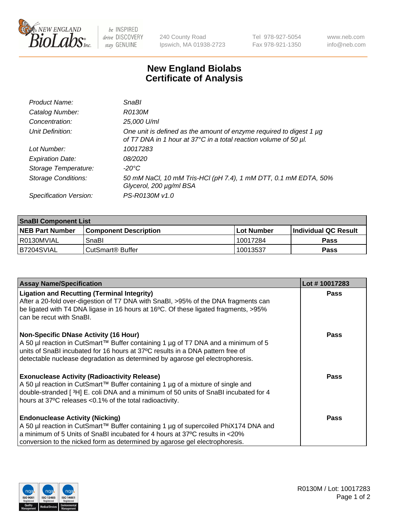

 $be$  INSPIRED drive DISCOVERY stay GENUINE

240 County Road Ipswich, MA 01938-2723 Tel 978-927-5054 Fax 978-921-1350 www.neb.com info@neb.com

## **New England Biolabs Certificate of Analysis**

| Product Name:              | <b>SnaBl</b>                                                                                                                            |
|----------------------------|-----------------------------------------------------------------------------------------------------------------------------------------|
| Catalog Number:            | R0130M                                                                                                                                  |
| Concentration:             | 25,000 U/ml                                                                                                                             |
| Unit Definition:           | One unit is defined as the amount of enzyme required to digest 1 µg<br>of T7 DNA in 1 hour at 37°C in a total reaction volume of 50 µl. |
| Lot Number:                | 10017283                                                                                                                                |
| <b>Expiration Date:</b>    | 08/2020                                                                                                                                 |
| Storage Temperature:       | $-20^{\circ}$ C                                                                                                                         |
| <b>Storage Conditions:</b> | 50 mM NaCl, 10 mM Tris-HCl (pH 7.4), 1 mM DTT, 0.1 mM EDTA, 50%<br>Glycerol, 200 µg/ml BSA                                              |
| Specification Version:     | PS-R0130M v1.0                                                                                                                          |

| <b>SnaBI Component List</b> |                              |              |                             |  |
|-----------------------------|------------------------------|--------------|-----------------------------|--|
| <b>NEB Part Number</b>      | <b>Component Description</b> | l Lot Number | <b>Individual QC Result</b> |  |
| I R0130MVIAL                | SnaBl                        | 10017284     | <b>Pass</b>                 |  |
| B7204SVIAL                  | l CutSmart® Buffer           | 10013537     | Pass                        |  |

| <b>Assay Name/Specification</b>                                                                                                                                                                                                                                                                          | Lot #10017283 |
|----------------------------------------------------------------------------------------------------------------------------------------------------------------------------------------------------------------------------------------------------------------------------------------------------------|---------------|
| <b>Ligation and Recutting (Terminal Integrity)</b><br>After a 20-fold over-digestion of T7 DNA with SnaBI, >95% of the DNA fragments can<br>be ligated with T4 DNA ligase in 16 hours at 16°C. Of these ligated fragments, >95%<br>can be recut with SnaBI.                                              | <b>Pass</b>   |
| <b>Non-Specific DNase Activity (16 Hour)</b><br>A 50 µl reaction in CutSmart™ Buffer containing 1 µg of T7 DNA and a minimum of 5<br>units of SnaBI incubated for 16 hours at 37°C results in a DNA pattern free of<br>detectable nuclease degradation as determined by agarose gel electrophoresis.     | Pass          |
| <b>Exonuclease Activity (Radioactivity Release)</b><br>A 50 µl reaction in CutSmart™ Buffer containing 1 µg of a mixture of single and<br>double-stranded [3H] E. coli DNA and a minimum of 50 units of SnaBI incubated for 4<br>hours at 37°C releases <0.1% of the total radioactivity.                | Pass          |
| <b>Endonuclease Activity (Nicking)</b><br>A 50 µl reaction in CutSmart™ Buffer containing 1 µg of supercoiled PhiX174 DNA and<br>a minimum of 5 Units of SnaBI incubated for 4 hours at 37 <sup>o</sup> C results in <20%<br>conversion to the nicked form as determined by agarose gel electrophoresis. | Pass          |